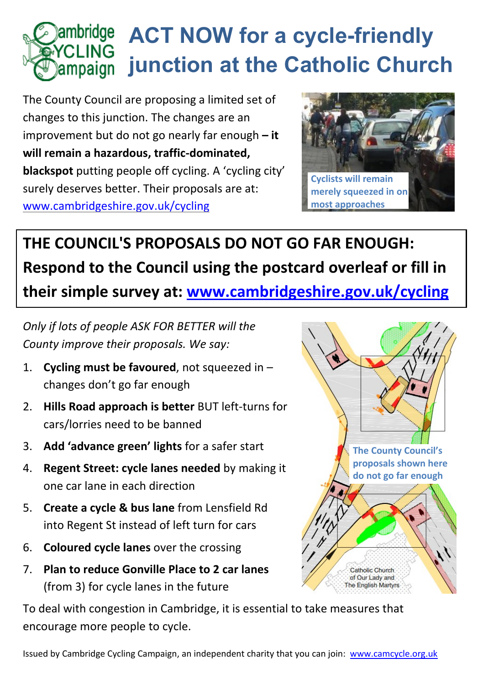

The County Council are proposing a limited set of changes to this junction. The changes are an improvement but do not go nearly far enough **– it will remain a hazardous, traffic-dominated, blackspot** putting people off cycling. A 'cycling city' surely deserves better. Their proposals are at: [www.cambridgeshire.gov.uk/cycling](http://www.cambridgeshire.gov.uk/cycling)



## **THE COUNCIL'S PROPOSALS DO NOT GO FAR ENOUGH: Respond to the Council using the postcard overleaf or fill in their simple survey at: [www.cambridgeshire.gov.uk/cycling](http://www.cambridgeshire.gov.uk/cycling)**

*Only if lots of people ASK FOR BETTER will the County improve their proposals. We say:*

- 1. **Cycling must be favoured**, not squeezed in changes don't go far enough
- 2. **Hills Road approach is better** BUT left-turns for cars/lorries need to be banned
- 3. **Add 'advance green' lights** for a safer start
- 4. **Regent Street: cycle lanes needed** by making it one car lane in each direction
- 5. **Create a cycle & bus lane** from Lensfield Rd into Regent St instead of left turn for cars
- 6. **Coloured cycle lanes** over the crossing
- 7. **Plan to reduce Gonville Place to 2 car lanes**  (from 3) for cycle lanes in the future

**The County Council's proposals shown here do not go far enough** Catholic Church of Our Lady and The English Martyrs

To deal with congestion in Cambridge, it is essential to take measures that encourage more people to cycle.

Issued by Cambridge Cycling Campaign, an independent charity that you can join: [www.camcycle.org.uk](http://www.camcycle.org.uk/)